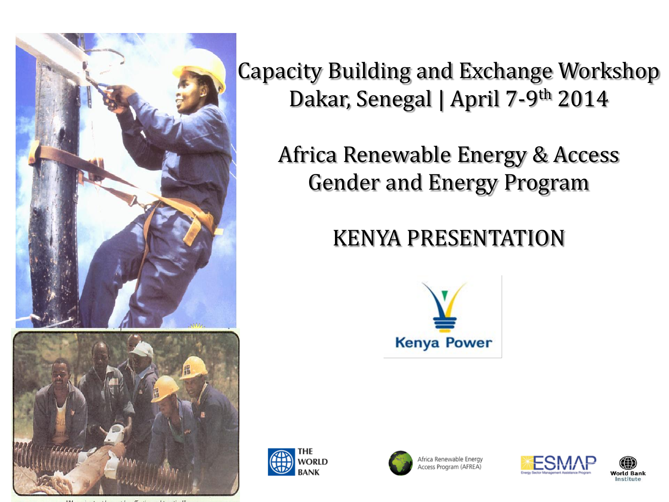

Capacity Building and Exchange Workshop Dakar, Senegal | April 7-9th 2014

Africa Renewable Energy & Access Gender and Energy Program

### KENYA PRESENTATION









Africa Renewable Energy ccess Program (AFREA)



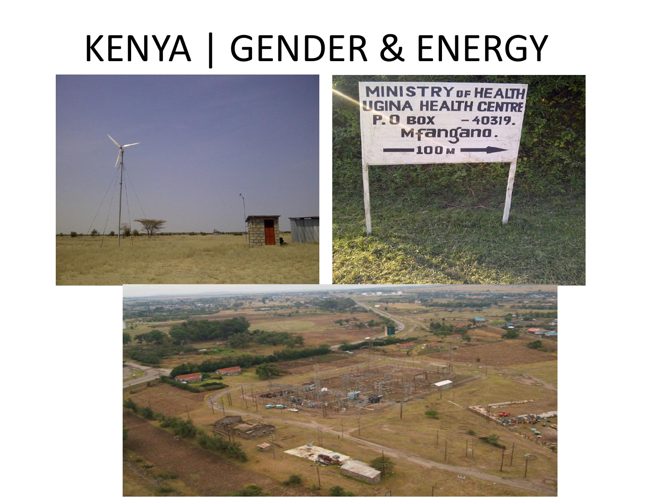### KENYA | GENDER & ENERGY





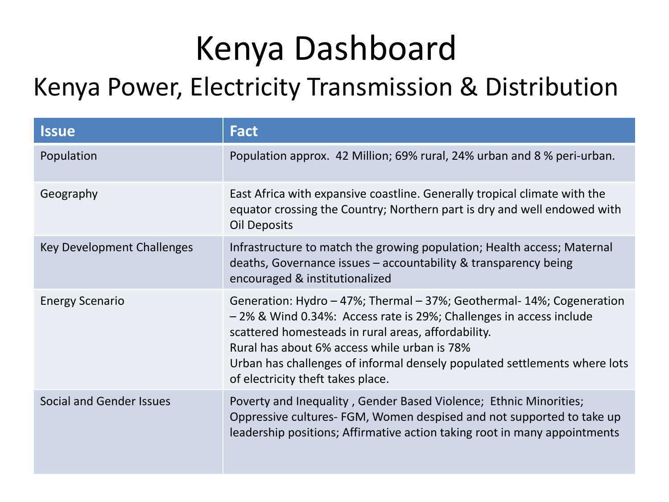### Kenya Dashboard

### Kenya Power, Electricity Transmission & Distribution

| <b>Issue</b>               | <b>Fact</b>                                                                                                                                                                                                                                                                                                                                                          |
|----------------------------|----------------------------------------------------------------------------------------------------------------------------------------------------------------------------------------------------------------------------------------------------------------------------------------------------------------------------------------------------------------------|
| Population                 | Population approx. 42 Million; 69% rural, 24% urban and 8 % peri-urban.                                                                                                                                                                                                                                                                                              |
| Geography                  | East Africa with expansive coastline. Generally tropical climate with the<br>equator crossing the Country; Northern part is dry and well endowed with<br><b>Oil Deposits</b>                                                                                                                                                                                         |
| Key Development Challenges | Infrastructure to match the growing population; Health access; Maternal<br>deaths, Governance issues - accountability & transparency being<br>encouraged & institutionalized                                                                                                                                                                                         |
| <b>Energy Scenario</b>     | Generation: Hydro – 47%; Thermal – 37%; Geothermal- 14%; Cogeneration<br>-2% & Wind 0.34%: Access rate is 29%; Challenges in access include<br>scattered homesteads in rural areas, affordability.<br>Rural has about 6% access while urban is 78%<br>Urban has challenges of informal densely populated settlements where lots<br>of electricity theft takes place. |
| Social and Gender Issues   | Poverty and Inequality, Gender Based Violence; Ethnic Minorities;<br>Oppressive cultures- FGM, Women despised and not supported to take up<br>leadership positions; Affirmative action taking root in many appointments                                                                                                                                              |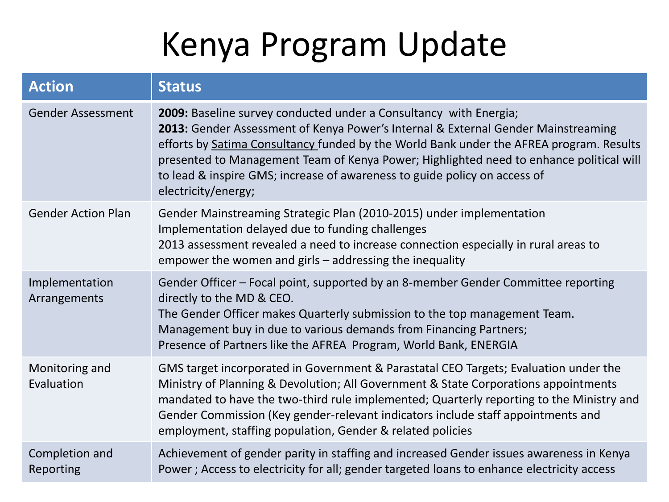### Kenya Program Update

| <b>Action</b>                  | <b>Status</b>                                                                                                                                                                                                                                                                                                                                                                                                                                    |
|--------------------------------|--------------------------------------------------------------------------------------------------------------------------------------------------------------------------------------------------------------------------------------------------------------------------------------------------------------------------------------------------------------------------------------------------------------------------------------------------|
| <b>Gender Assessment</b>       | 2009: Baseline survey conducted under a Consultancy with Energia;<br>2013: Gender Assessment of Kenya Power's Internal & External Gender Mainstreaming<br>efforts by Satima Consultancy funded by the World Bank under the AFREA program. Results<br>presented to Management Team of Kenya Power; Highlighted need to enhance political will<br>to lead & inspire GMS; increase of awareness to guide policy on access of<br>electricity/energy; |
| <b>Gender Action Plan</b>      | Gender Mainstreaming Strategic Plan (2010-2015) under implementation<br>Implementation delayed due to funding challenges<br>2013 assessment revealed a need to increase connection especially in rural areas to<br>empower the women and girls - addressing the inequality                                                                                                                                                                       |
| Implementation<br>Arrangements | Gender Officer - Focal point, supported by an 8-member Gender Committee reporting<br>directly to the MD & CEO.<br>The Gender Officer makes Quarterly submission to the top management Team.<br>Management buy in due to various demands from Financing Partners;<br>Presence of Partners like the AFREA Program, World Bank, ENERGIA                                                                                                             |
| Monitoring and<br>Evaluation   | GMS target incorporated in Government & Parastatal CEO Targets; Evaluation under the<br>Ministry of Planning & Devolution; All Government & State Corporations appointments<br>mandated to have the two-third rule implemented; Quarterly reporting to the Ministry and<br>Gender Commission (Key gender-relevant indicators include staff appointments and<br>employment, staffing population, Gender & related policies                        |
| Completion and<br>Reporting    | Achievement of gender parity in staffing and increased Gender issues awareness in Kenya<br>Power; Access to electricity for all; gender targeted loans to enhance electricity access                                                                                                                                                                                                                                                             |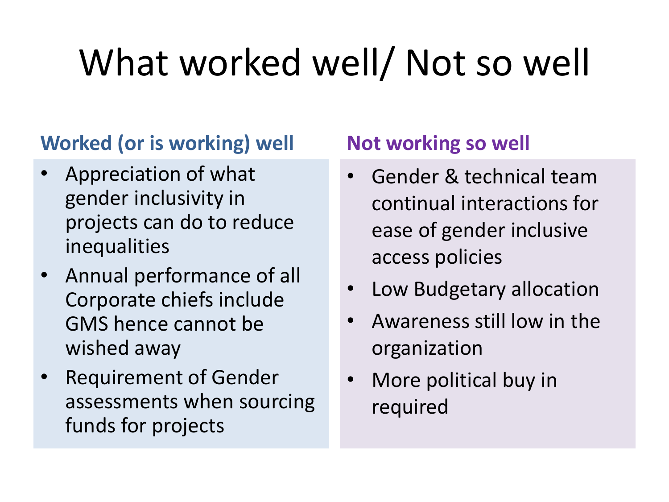# What worked well/ Not so well

#### **Worked (or is working) well**

- Appreciation of what gender inclusivity in projects can do to reduce inequalities
- Annual performance of all Corporate chiefs include GMS hence cannot be wished away
- Requirement of Gender assessments when sourcing funds for projects

#### **Not working so well**

- Gender & technical team continual interactions for ease of gender inclusive access policies
- Low Budgetary allocation
- Awareness still low in the organization
- More political buy in required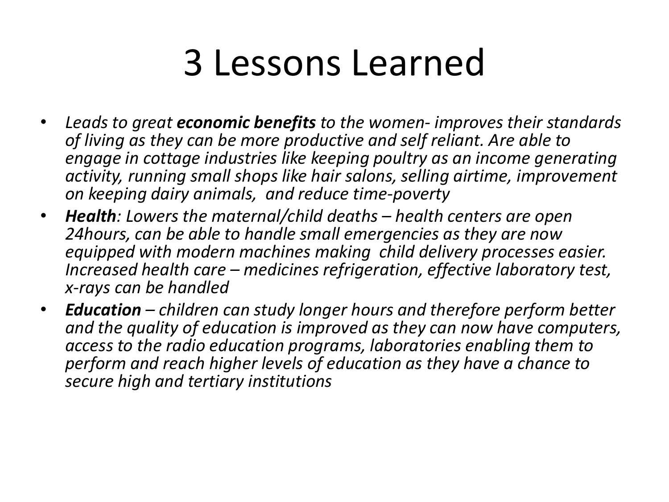## 3 Lessons Learned

- *Leads to great economic benefits to the women- improves their standards of living as they can be more productive and self reliant. Are able to engage in cottage industries like keeping poultry as an income generating activity, running small shops like hair salons, selling airtime, improvement on keeping dairy animals, and reduce time-poverty*
- *Health: Lowers the maternal/child deaths – health centers are open 24hours, can be able to handle small emergencies as they are now equipped with modern machines making child delivery processes easier. Increased health care – medicines refrigeration, effective laboratory test, x-rays can be handled*
- *Education – children can study longer hours and therefore perform better and the quality of education is improved as they can now have computers, access to the radio education programs, laboratories enabling them to perform and reach higher levels of education as they have a chance to secure high and tertiary institutions*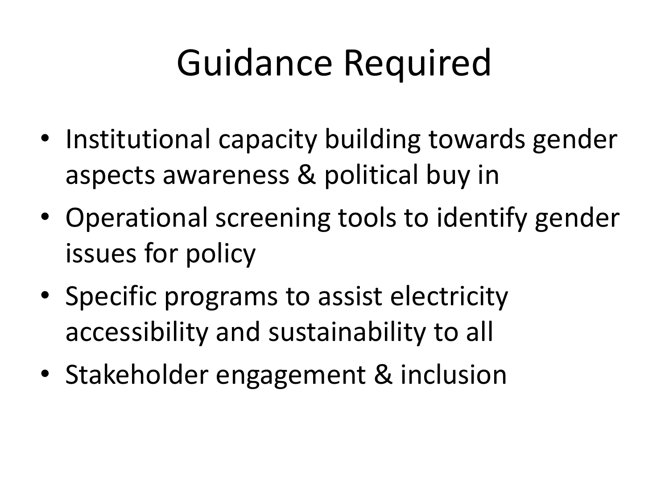## Guidance Required

- Institutional capacity building towards gender aspects awareness & political buy in
- Operational screening tools to identify gender issues for policy
- Specific programs to assist electricity accessibility and sustainability to all
- Stakeholder engagement & inclusion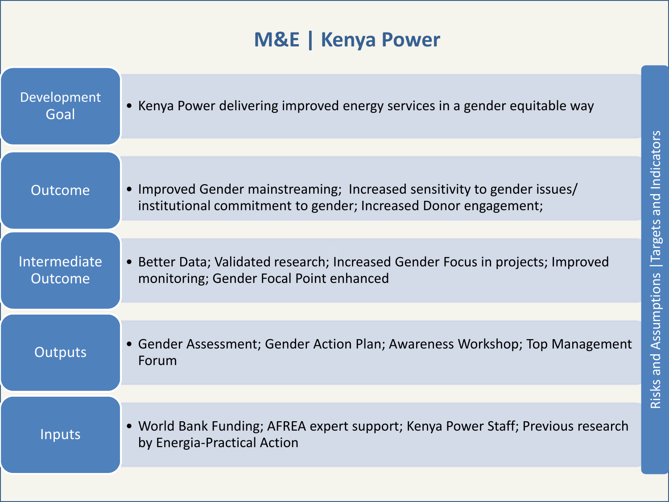#### **M&E | Kenya Power**

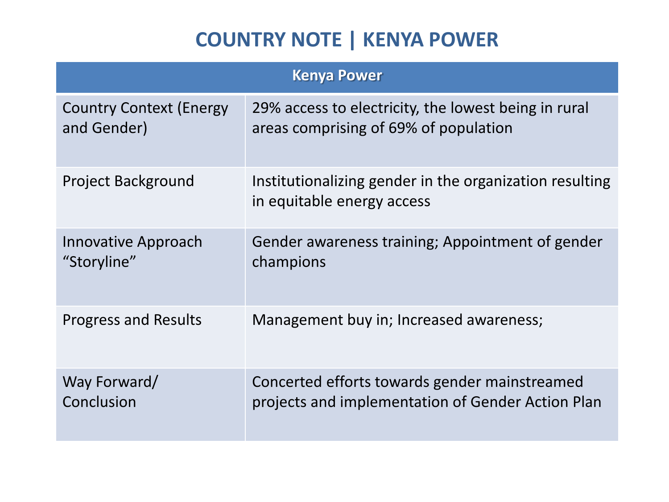#### **COUNTRY NOTE | KENYA POWER**

| <b>Kenya Power</b>              |                                                                                       |  |
|---------------------------------|---------------------------------------------------------------------------------------|--|
| <b>Country Context (Energy)</b> | 29% access to electricity, the lowest being in rural                                  |  |
| and Gender)                     | areas comprising of 69% of population                                                 |  |
| <b>Project Background</b>       | Institutionalizing gender in the organization resulting<br>in equitable energy access |  |
| Innovative Approach             | Gender awareness training; Appointment of gender                                      |  |
| "Storyline"                     | champions                                                                             |  |
| <b>Progress and Results</b>     | Management buy in; Increased awareness;                                               |  |
| Way Forward/                    | Concerted efforts towards gender mainstreamed                                         |  |
| Conclusion                      | projects and implementation of Gender Action Plan                                     |  |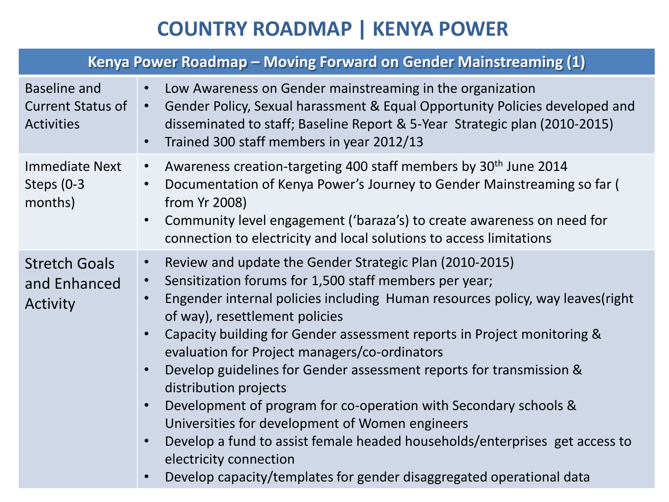#### **COUNTRY ROADMAP | KENYA POWER**

| Kenya Power Roadmap – Moving Forward on Gender Mainstreaming (1)     |                                                                                                                                                                                                                                                                                                                                                                                                                                                                                                                                                                                                                                                                                                                                                                                                                                                                                   |  |
|----------------------------------------------------------------------|-----------------------------------------------------------------------------------------------------------------------------------------------------------------------------------------------------------------------------------------------------------------------------------------------------------------------------------------------------------------------------------------------------------------------------------------------------------------------------------------------------------------------------------------------------------------------------------------------------------------------------------------------------------------------------------------------------------------------------------------------------------------------------------------------------------------------------------------------------------------------------------|--|
| <b>Baseline and</b><br><b>Current Status of</b><br><b>Activities</b> | Low Awareness on Gender mainstreaming in the organization<br>$\bullet$<br>Gender Policy, Sexual harassment & Equal Opportunity Policies developed and<br>$\bullet$<br>disseminated to staff; Baseline Report & 5-Year Strategic plan (2010-2015)<br>Trained 300 staff members in year 2012/13                                                                                                                                                                                                                                                                                                                                                                                                                                                                                                                                                                                     |  |
| <b>Immediate Next</b><br>Steps $(0-3)$<br>months)                    | Awareness creation-targeting 400 staff members by 30 <sup>th</sup> June 2014<br>$\bullet$<br>Documentation of Kenya Power's Journey to Gender Mainstreaming so far (<br>$\bullet$<br>from Yr 2008)<br>Community level engagement ('baraza's) to create awareness on need for<br>$\bullet$<br>connection to electricity and local solutions to access limitations                                                                                                                                                                                                                                                                                                                                                                                                                                                                                                                  |  |
| <b>Stretch Goals</b><br>and Enhanced<br>Activity                     | Review and update the Gender Strategic Plan (2010-2015)<br>$\bullet$<br>Sensitization forums for 1,500 staff members per year;<br>$\bullet$<br>Engender internal policies including Human resources policy, way leaves (right<br>$\bullet$<br>of way), resettlement policies<br>Capacity building for Gender assessment reports in Project monitoring &<br>$\bullet$<br>evaluation for Project managers/co-ordinators<br>Develop guidelines for Gender assessment reports for transmission &<br>$\bullet$<br>distribution projects<br>Development of program for co-operation with Secondary schools &<br>$\bullet$<br>Universities for development of Women engineers<br>Develop a fund to assist female headed households/enterprises get access to<br>$\bullet$<br>electricity connection<br>Develop capacity/templates for gender disaggregated operational data<br>$\bullet$ |  |